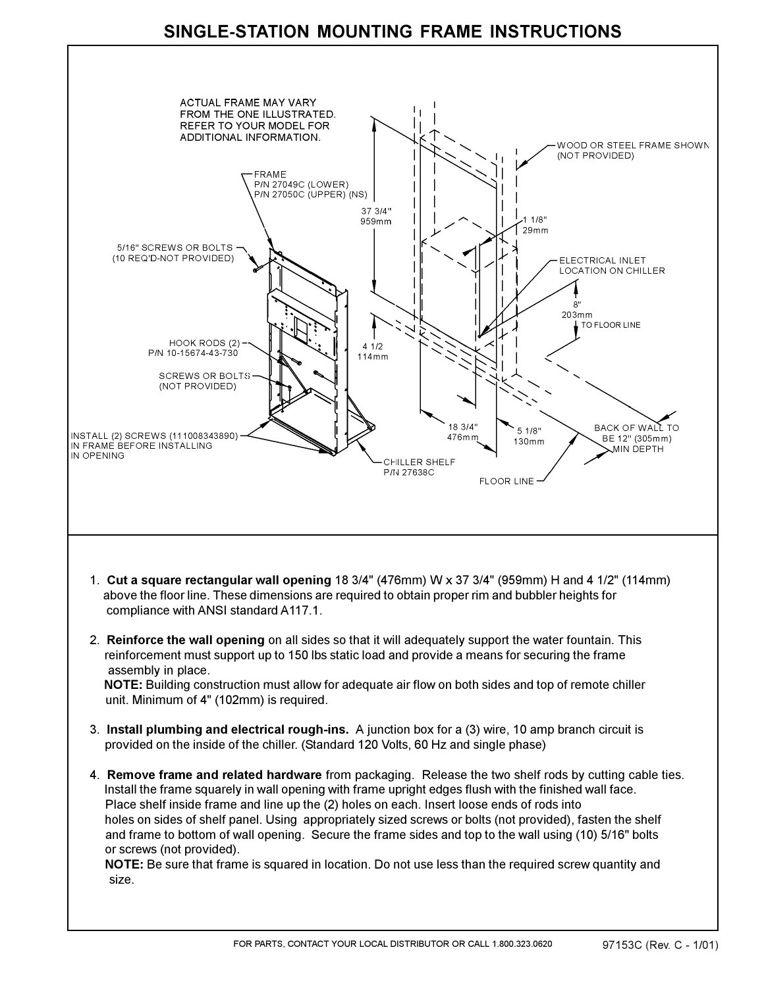## **SINGLE-STATION MOUNTING FRAME INSTRUCTIONS**